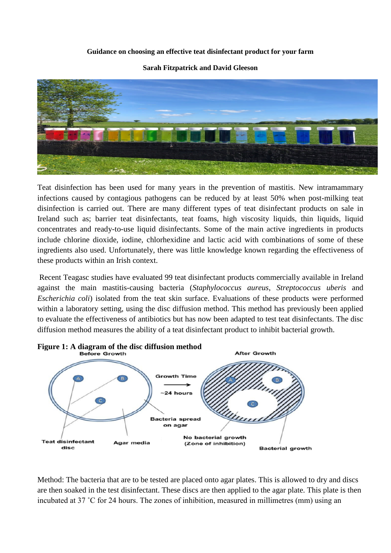## **Guidance on choosing an effective teat disinfectant product for your farm**

**Sarah Fitzpatrick and David Gleeson**



Teat disinfection has been used for many years in the prevention of mastitis. New intramammary infections caused by contagious pathogens can be reduced by at least 50% when post-milking teat disinfection is carried out. There are many different types of teat disinfectant products on sale in Ireland such as; barrier teat disinfectants, teat foams, high viscosity liquids, thin liquids, liquid concentrates and ready-to-use liquid disinfectants. Some of the main active ingredients in products include chlorine dioxide, iodine, chlorhexidine and lactic acid with combinations of some of these ingredients also used. Unfortunately, there was little knowledge known regarding the effectiveness of these products within an Irish context.

Recent Teagasc studies have evaluated 99 teat disinfectant products commercially available in Ireland against the main mastitis-causing bacteria (*Staphylococcus aureus*, *Streptococcus uberis* and *Escherichia coli*) isolated from the teat skin surface. Evaluations of these products were performed within a laboratory setting, using the disc diffusion method. This method has previously been applied to evaluate the effectiveness of antibiotics but has now been adapted to test teat disinfectants. The disc diffusion method measures the ability of a teat disinfectant product to inhibit bacterial growth.



Method: The bacteria that are to be tested are placed onto agar plates. This is allowed to dry and discs are then soaked in the test disinfectant. These discs are then applied to the agar plate. This plate is then incubated at 37 ˚C for 24 hours. The zones of inhibition, measured in millimetres (mm) using an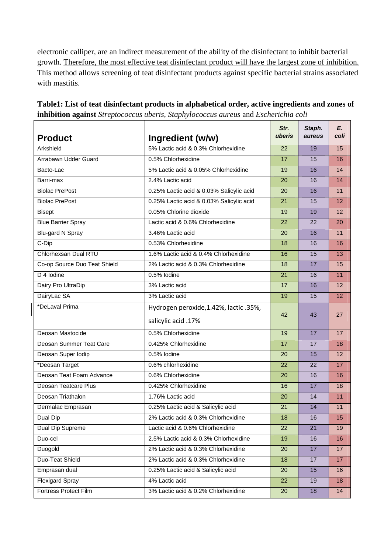electronic calliper, are an indirect measurement of the ability of the disinfectant to inhibit bacterial growth. Therefore, the most effective teat disinfectant product will have the largest zone of inhibition. This method allows screening of teat disinfectant products against specific bacterial strains associated with mastitis.

| <b>Product</b>               | Ingredient (w/w)                                              | Str.<br>uberis | Staph.<br>aureus | E.<br>coli |
|------------------------------|---------------------------------------------------------------|----------------|------------------|------------|
| Arkshield                    | 5% Lactic acid & 0.3% Chlorhexidine                           | 22             | 19               | 15         |
| Arrabawn Udder Guard         | 0.5% Chlorhexidine                                            | 17             | 15               | 16         |
| Bacto-Lac                    | 5% Lactic acid & 0.05% Chlorhexidine                          | 19             | 16               | 14         |
| Barri-max                    | 2.4% Lactic acid                                              | 20             | 16               | 14         |
| <b>Biolac PrePost</b>        | 0.25% Lactic acid & 0.03% Salicylic acid                      | 20             | 16               | 11         |
| <b>Biolac PrePost</b>        | 0.25% Lactic acid & 0.03% Salicylic acid                      | 21             | 15               | 12         |
| <b>Bisept</b>                | 0.05% Chlorine dioxide                                        | 19             | 19               | 12         |
| <b>Blue Barrier Spray</b>    | Lactic acid & 0.6% Chlorhexidine                              | 22             | 22               | 20         |
| Blu-gard N Spray             | 3.46% Lactic acid                                             | 20             | 16               | 11         |
| C-Dip                        | 0.53% Chlorhexidine                                           | 18             | 16               | 16         |
| Chlorhexsan Dual RTU         | 1.6% Lactic acid & 0.4% Chlorhexidine                         | 16             | 15               | 13         |
| Co-op Source Duo Teat Shield | 2% Lactic acid & 0.3% Chlorhexidine                           | 18             | 17               | 15         |
| D <sub>4</sub> lodine        | 0.5% lodine                                                   | 21             | 16               | 11         |
| Dairy Pro UltraDip           | 3% Lactic acid                                                | 17             | 16               | 12         |
| DairyLac SA                  | 3% Lactic acid                                                | 19             | 15               | 12         |
| *DeLaval Prima               | Hydrogen peroxide, 1.42%, lactic_.35%,<br>salicylic acid .17% | 42             | 43               | 27         |
| Deosan Mastocide             | 0.5% Chlorhexidine                                            | 19             | 17               | 17         |
| Deosan Summer Teat Care      | 0.425% Chlorhexidine                                          | 17             | 17               | 18         |
| Deosan Super Iodip           | 0.5% lodine                                                   | 20             | 15               | 12         |
| *Deosan Target               | 0.6% chlorhexidine                                            | 22             | 22               | 17         |
| Deosan Teat Foam Advance     | 0.6% Chlorhexidine                                            | 20             | 16               | 16         |
| Deosan Teatcare Plus         | 0.425% Chlorhexidine                                          | 16             | 17               | 18         |
| Deosan Triathalon            | 1.76% Lactic acid                                             | 20             | 14               | 11         |
| Dermalac Emprasan            | 0.25% Lactic acid & Salicylic acid                            | 21             | 14               | 11         |
| Dual Dip                     | 2% Lactic acid & 0.3% Chlorhexidine                           | 18             | 16               | 15         |
| Dual Dip Supreme             | Lactic acid & 0.6% Chlorhexidine                              | 22             | 21               | 19         |
| Duo-cel                      | 2.5% Lactic acid & 0.3% Chlorhexidine                         | 19             |                  |            |
| Duogold                      | 2% Lactic acid & 0.3% Chlorhexidine                           |                | 16<br>17         | 16         |
|                              |                                                               | 20             |                  | 17         |
| Duo-Teat Shield              | 2% Lactic acid & 0.3% Chlorhexidine                           | 18             | 17               | 17         |
| Emprasan dual                | 0.25% Lactic acid & Salicylic acid                            | 20             | 15               | 16         |
| <b>Flexigard Spray</b>       | 4% Lactic acid                                                | 22             | 19               | 18         |
| Fortress Protect Film        | 3% Lactic acid & 0.2% Chlorhexidine                           | 20             | 18               | 14         |

**Table1: List of teat disinfectant products in alphabetical order, active ingredients and zones of inhibition against** *Streptococcus uberis, Staphylococcus aureus* and *Escherichia coli*  $\overline{\phantom{0}}$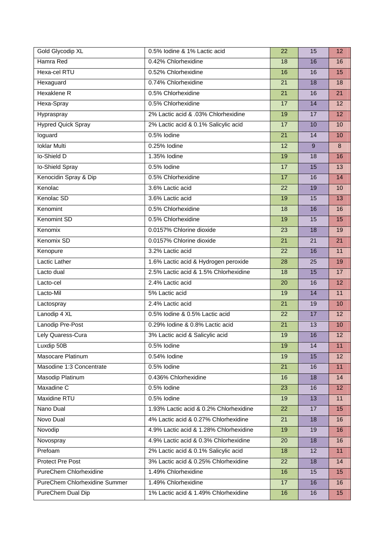| <b>Gold Glycodip XL</b>       | 0.5% lodine & 1% Lactic acid           | 22 | 15 | 12              |
|-------------------------------|----------------------------------------|----|----|-----------------|
| Hamra Red                     | 0.42% Chlorhexidine                    | 18 | 16 | 16              |
| Hexa-cel RTU                  | 0.52% Chlorhexidine                    | 16 | 16 | 15              |
| Hexaguard                     | 0.74% Chlorhexidine                    | 21 | 18 | 18              |
| <b>Hexaklene R</b>            | 0.5% Chlorhexidine                     | 21 | 16 | 21              |
| Hexa-Spray                    | 0.5% Chlorhexidine                     | 17 | 14 | 12              |
| Hypraspray                    | 2% Lactic acid & .03% Chlorhexidine    | 19 | 17 | 12              |
| <b>Hypred Quick Spray</b>     | 2% Lactic acid & 0.1% Salicylic acid   | 17 | 10 | 10              |
| loguard                       | 0.5% lodine                            | 21 | 14 | 10              |
| <b>Ioklar Multi</b>           | 0.25% lodine                           | 12 | 9  | 8               |
| lo-Shield D                   | 1.35% lodine                           | 19 | 18 | 16              |
| lo-Shield Spray               | 0.5% lodine                            | 17 | 15 | 13              |
| Kenocidin Spray & Dip         | 0.5% Chlorhexidine                     | 17 | 16 | 14              |
| Kenolac                       | 3.6% Lactic acid                       | 22 | 19 | 10              |
| Kenolac SD                    | 3.6% Lactic acid                       | 19 | 15 | 13              |
| Kenomint                      | 0.5% Chlorhexidine                     | 18 | 16 | 16              |
| Kenomint SD                   | 0.5% Chlorhexidine                     | 19 | 15 | 15              |
| Kenomix                       | 0.0157% Chlorine dioxide               | 23 | 18 | 19              |
| Kenomix SD                    | 0.0157% Chlorine dioxide               | 21 | 21 | 21              |
| Kenopure                      | 3.2% Lactic acid                       | 22 | 16 | 11              |
| Lactic Lather                 | 1.6% Lactic acid & Hydrogen peroxide   | 28 | 25 | 19              |
| Lacto dual                    | 2.5% Lactic acid & 1.5% Chlorhexidine  | 18 | 15 | 17              |
| Lacto-cel                     | 2.4% Lactic acid                       | 20 | 16 | $\overline{12}$ |
| Lacto-Mil                     | 5% Lactic acid                         | 19 | 14 | 11              |
| Lactospray                    | 2.4% Lactic acid                       | 21 | 19 | 10              |
| Lanodip 4 XL                  | 0.5% lodine & 0.5% Lactic acid         | 22 | 17 | 12              |
| Lanodip Pre-Post              | 0.29% lodine & 0.8% Lactic acid        | 21 | 13 | 10              |
| Lely Quaress-Cura             | 3% Lactic acid & Salicylic acid        | 19 | 16 | 12              |
| Luxdip 50B                    | 0.5% lodine                            | 19 | 14 | 11              |
| Masocare Platinum             | 0.54% lodine                           | 19 | 15 | 12              |
| Masodine 1:3 Concentrate      | 0.5% lodine                            | 21 | 16 | 11              |
| Masodip Platinum              | 0.436% Chlorhexidine                   | 16 | 18 | 14              |
| Maxadine C                    | 0.5% lodine                            | 23 | 16 | 12              |
| <b>Maxidine RTU</b>           | 0.5% lodine                            | 19 | 13 | 11              |
| Nano Dual                     | 1.93% Lactic acid & 0.2% Chlorhexidine | 22 | 17 | 15              |
| Novo Dual                     | 4% Lactic acid & 0.27% Chlorhexidine   | 21 | 18 | 16              |
| Novodip                       | 4.9% Lactic acid & 1.28% Chlorhexidine | 19 | 19 | 16              |
| Novospray                     | 4.9% Lactic acid & 0.3% Chlorhexidine  | 20 | 18 | 16              |
| Prefoam                       | 2% Lactic acid & 0.1% Salicylic acid   | 18 | 12 | 11              |
| Protect Pre Post              | 3% Lactic acid & 0.25% Chlorhexidine   | 22 | 18 | 14              |
| PureChem Chlorhexidine        | 1.49% Chlorhexidine                    | 16 | 15 | 15              |
| PureChem Chlorhexidine Summer | 1.49% Chlorhexidine                    | 17 | 16 | 16              |
| PureChem Dual Dip             | 1% Lactic acid & 1.49% Chlorhexidine   | 16 | 16 | 15              |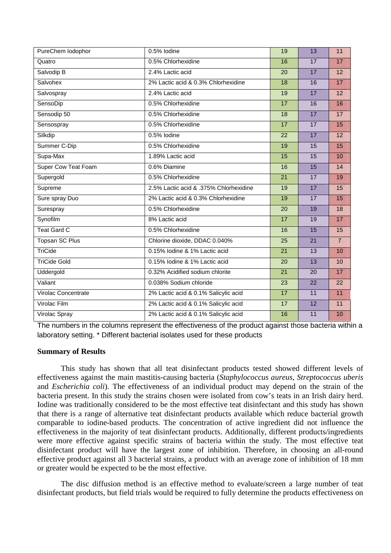| PureChem lodophor     | 0.5% lodine                            | 19              | 13 | 11              |
|-----------------------|----------------------------------------|-----------------|----|-----------------|
| Quatro                | 0.5% Chlorhexidine                     | 16              | 17 | 17              |
| Salvodip <sub>B</sub> | 2.4% Lactic acid                       | 20              | 17 | 12              |
| Salvohex              | 2% Lactic acid & 0.3% Chlorhexidine    | 18              | 16 | 17              |
| Salvospray            | 2.4% Lactic acid                       | 19              | 17 | $\overline{12}$ |
| SensoDip              | 0.5% Chlorhexidine                     | 17              | 16 | 16              |
| Sensodip 50           | 0.5% Chlorhexidine                     | 18              | 17 | 17              |
| Sensospray            | 0.5% Chlorhexidine                     | 17              | 17 | 15              |
| Silkdip               | 0.5% lodine                            | 22              | 17 | 12              |
| Summer C-Dip          | 0.5% Chlorhexidine                     | 19              | 15 | 15              |
| Supa-Max              | 1.89% Lactic acid                      | 15              | 15 | 10              |
| Super Cow Teat Foam   | 0.6% Diamine                           | 16              | 15 | 14              |
| Supergold             | 0.5% Chlorhexidine                     | $\overline{21}$ | 17 | 19              |
| Supreme               | 2.5% Lactic acid & .375% Chlorhexidine | 19              | 17 | 15              |
| Sure spray Duo        | 2% Lactic acid & 0.3% Chlorhexidine    | 19              | 17 | 15              |
| Surespray             | 0.5% Chlorhexidine                     | $\overline{20}$ | 19 | 18              |
| Synofilm              | 8% Lactic acid                         | 17              | 19 | 17              |
| <b>Teat Gard C</b>    | 0.5% Chlorhexidine                     | 16              | 15 | 15              |
| Topsan SC Plus        | Chlorine dioxide, DDAC 0.040%          | 25              | 21 | $\overline{7}$  |
| TriCide               | 0.15% lodine & 1% Lactic acid          | 21              | 13 | 10              |
| <b>TriCide Gold</b>   | 0.15% lodine & 1% Lactic acid          | 20              | 13 | 10              |
| Uddergold             | 0.32% Acidified sodium chlorite        | 21              | 20 | 17              |
| Valiant               | 0.038% Sodium chloride                 | 23              | 22 | 22              |
| Virolac Concentrate   | 2% Lactic acid & 0.1% Salicylic acid   | 17              | 11 | 11              |
| Virolac Film          | 2% Lactic acid & 0.1% Salicylic acid   | 17              | 12 | 11              |
| Virolac Spray         | 2% Lactic acid & 0.1% Salicylic acid   | 16              | 11 | 10              |

The numbers in the columns represent the effectiveness of the product against those bacteria within a laboratory setting. \* Different bacterial isolates used for these products

## **Summary of Results**

This study has shown that all teat disinfectant products tested showed different levels of effectiveness against the main mastitis-causing bacteria (*Staphylococcus aureus*, *Streptococcus uberis* and *Escherichia coli*). The effectiveness of an individual product may depend on the strain of the bacteria present. In this study the strains chosen were isolated from cow's teats in an Irish dairy herd. Iodine was traditionally considered to be the most effective teat disinfectant and this study has shown that there is a range of alternative teat disinfectant products available which reduce bacterial growth comparable to iodine-based products. The concentration of active ingredient did not influence the effectiveness in the majority of teat disinfectant products. Additionally, different products/ingredients were more effective against specific strains of bacteria within the study. The most effective teat disinfectant product will have the largest zone of inhibition. Therefore, in choosing an all-round effective product against all 3 bacterial strains, a product with an average zone of inhibition of 18 mm or greater would be expected to be the most effective.

The disc diffusion method is an effective method to evaluate/screen a large number of teat disinfectant products, but field trials would be required to fully determine the products effectiveness on